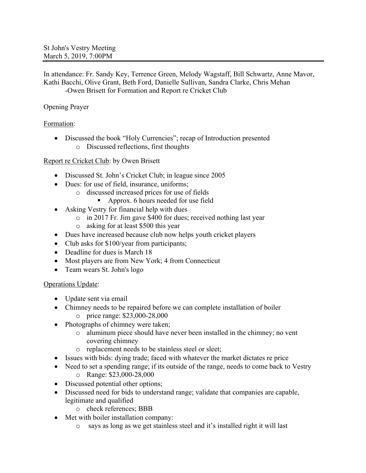In attendance: Fr. Sandy Key, Terrence Green, Melody Wagstaff, Bill Schwartz, Anne Mavor, Kathi Bacchi, Olive Grant, Beth Ford, Danielle Sullivan, Sandra Clarke, Chris Mehan -Owen Brisett for Formation and Report re Cricket Club

# Opening Prayer

## Formation:

• Discussed the book "Holy Currencies"; recap of Introduction presented o Discussed reflections, first thoughts

## Report re Cricket Club: by Owen Brisett

- Discussed St. John's Cricket Club; in league since 2005
- Dues: for use of field, insurance, uniforms;
	- o discussed increased prices for use of fields
		- § Approx. 6 hours needed for use field
- Asking Vestry for financial help with dues
	- o in 2017 Fr. Jim gave \$400 for dues; received nothing last year
	- o asking for at least \$500 this year
- Dues have increased because club now helps youth cricket players
- Club asks for \$100/year from participants;
- Deadline for dues is March 18
- Most players are from New York; 4 from Connecticut
- Team wears St. John's logo

## Operations Update:

- Update sent via email
- Chimney needs to be repaired before we can complete installation of boiler o price range: \$23,000-28,000
- Photographs of chimney were taken;
	- o aluminum piece should have never been installed in the chimney; no vent covering chimney
	- o replacement needs to be stainless steel or sleet;
- Issues with bids: dying trade; faced with whatever the market dictates re price
- Need to set a spending range; if its outside of the range, needs to come back to Vestry o Range: \$23,000-28,000
- Discussed potential other options;
- Discussed need for bids to understand range; validate that companies are capable, legitimate and qualified
	- o check references; BBB
- Met with boiler installation company:
	- o says as long as we get stainless steel and it's installed right it will last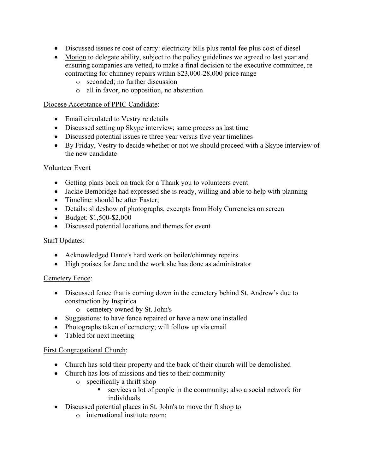- Discussed issues re cost of carry: electricity bills plus rental fee plus cost of diesel
- Motion to delegate ability, subject to the policy guidelines we agreed to last year and ensuring companies are vetted, to make a final decision to the executive committee, re contracting for chimney repairs within \$23,000-28,000 price range
	- o seconded; no further discussion
	- o all in favor, no opposition, no abstention

#### Diocese Acceptance of PPIC Candidate:

- Email circulated to Vestry re details
- Discussed setting up Skype interview; same process as last time
- Discussed potential issues re three year versus five year timelines
- By Friday, Vestry to decide whether or not we should proceed with a Skype interview of the new candidate

## Volunteer Event

- Getting plans back on track for a Thank you to volunteers event
- Jackie Bembridge had expressed she is ready, willing and able to help with planning
- Timeline: should be after Easter;
- Details: slideshow of photographs, excerpts from Holy Currencies on screen
- Budget: \$1,500-\$2,000
- Discussed potential locations and themes for event

## Staff Updates:

- Acknowledged Dante's hard work on boiler/chimney repairs
- High praises for Jane and the work she has done as administrator

## Cemetery Fence:

- Discussed fence that is coming down in the cemetery behind St. Andrew's due to construction by Inspirica
	- o cemetery owned by St. John's
- Suggestions: to have fence repaired or have a new one installed
- Photographs taken of cemetery; will follow up via email
- Tabled for next meeting

## First Congregational Church:

- Church has sold their property and the back of their church will be demolished
- Church has lots of missions and ties to their community
	- o specifically a thrift shop
		- services a lot of people in the community; also a social network for individuals
- Discussed potential places in St. John's to move thrift shop to
	- o international institute room;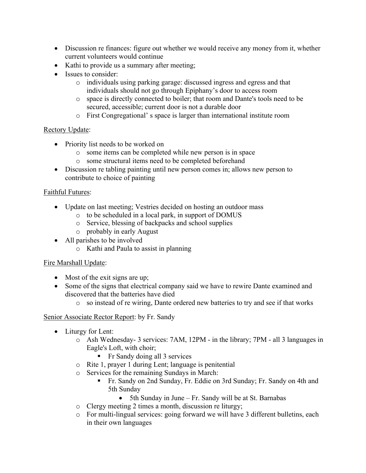- Discussion re finances: figure out whether we would receive any money from it, whether current volunteers would continue
- Kathi to provide us a summary after meeting;
- Issues to consider:
	- o individuals using parking garage: discussed ingress and egress and that individuals should not go through Epiphany's door to access room
	- o space is directly connected to boiler; that room and Dante's tools need to be secured, accessible; current door is not a durable door
	- o First Congregational' s space is larger than international institute room

## Rectory Update:

- Priority list needs to be worked on
	- o some items can be completed while new person is in space
	- o some structural items need to be completed beforehand
- Discussion re tabling painting until new person comes in; allows new person to contribute to choice of painting

## Faithful Futures:

- Update on last meeting; Vestries decided on hosting an outdoor mass
	- o to be scheduled in a local park, in support of DOMUS
		- o Service, blessing of backpacks and school supplies
		- o probably in early August
- All parishes to be involved
	- o Kathi and Paula to assist in planning

## Fire Marshall Update:

- Most of the exit signs are up;
- Some of the signs that electrical company said we have to rewire Dante examined and discovered that the batteries have died
	- o so instead of re wiring, Dante ordered new batteries to try and see if that works

## Senior Associate Rector Report: by Fr. Sandy

- Liturgy for Lent:
	- o Ash Wednesday- 3 services: 7AM, 12PM in the library; 7PM all 3 languages in Eagle's Loft, with choir;
		- Fr Sandy doing all 3 services
	- o Rite 1, prayer 1 during Lent; language is penitential
	- o Services for the remaining Sundays in March:
		- § Fr. Sandy on 2nd Sunday, Fr. Eddie on 3rd Sunday; Fr. Sandy on 4th and 5th Sunday
			- 5th Sunday in June Fr. Sandy will be at St. Barnabas
	- o Clergy meeting 2 times a month, discussion re liturgy;
	- o For multi-lingual services: going forward we will have 3 different bulletins, each in their own languages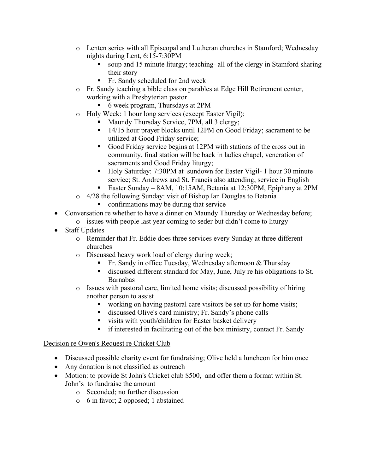- o Lenten series with all Episcopal and Lutheran churches in Stamford; Wednesday nights during Lent, 6:15-7:30PM
	- soup and 15 minute liturgy; teaching- all of the clergy in Stamford sharing their story
	- Fr. Sandy scheduled for 2nd week
- o Fr. Sandy teaching a bible class on parables at Edge Hill Retirement center, working with a Presbyterian pastor
	- 6 week program, Thursdays at 2PM
- o Holy Week: 1 hour long services (except Easter Vigil);
	- § Maundy Thursday Service, 7PM, all 3 clergy;
	- 14/15 hour prayer blocks until 12PM on Good Friday; sacrament to be utilized at Good Friday service;
	- Good Friday service begins at 12PM with stations of the cross out in community, final station will be back in ladies chapel, veneration of sacraments and Good Friday liturgy;
	- Holy Saturday: 7:30PM at sundown for Easter Vigil- 1 hour 30 minute service; St. Andrews and St. Francis also attending, service in English
	- § Easter Sunday 8AM, 10:15AM, Betania at 12:30PM, Epiphany at 2PM
- o 4/28 the following Sunday: visit of Bishop Ian Douglas to Betania ■ confirmations may be during that service
- Conversation re whether to have a dinner on Maundy Thursday or Wednesday before;
	- o issues with people last year coming to seder but didn't come to liturgy
- Staff Updates
	- o Reminder that Fr. Eddie does three services every Sunday at three different churches
	- o Discussed heavy work load of clergy during week;
		- Fr. Sandy in office Tuesday, Wednesday afternoon & Thursday
		- discussed different standard for May, June, July re his obligations to St. Barnabas
	- o Issues with pastoral care, limited home visits; discussed possibility of hiring another person to assist
		- working on having pastoral care visitors be set up for home visits;
		- § discussed Olive's card ministry; Fr. Sandy's phone calls
		- visits with youth/children for Easter basket delivery
		- if interested in facilitating out of the box ministry, contact Fr. Sandy

## Decision re Owen's Request re Cricket Club

- Discussed possible charity event for fundraising; Olive held a luncheon for him once
- Any donation is not classified as outreach
- Motion: to provide St John's Cricket club \$500, and offer them a format within St. John's to fundraise the amount
	- o Seconded; no further discussion
	- o 6 in favor; 2 opposed; 1 abstained